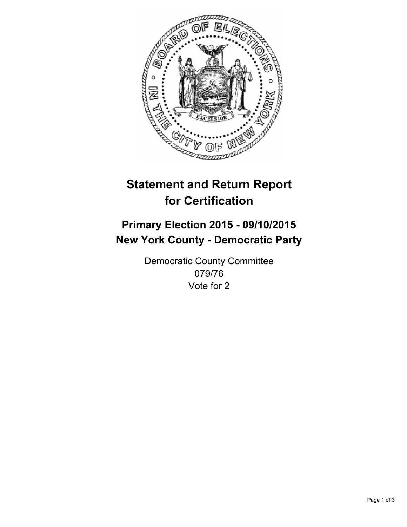

# **Statement and Return Report for Certification**

## **Primary Election 2015 - 09/10/2015 New York County - Democratic Party**

Democratic County Committee 079/76 Vote for 2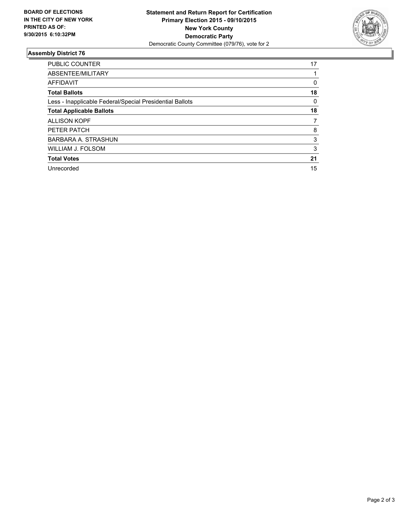

#### **Assembly District 76**

| <b>PUBLIC COUNTER</b>                                    | 17 |
|----------------------------------------------------------|----|
| ABSENTEE/MILITARY                                        |    |
| <b>AFFIDAVIT</b>                                         | 0  |
| <b>Total Ballots</b>                                     | 18 |
| Less - Inapplicable Federal/Special Presidential Ballots | 0  |
| <b>Total Applicable Ballots</b>                          | 18 |
| <b>ALLISON KOPF</b>                                      | 7  |
| PETER PATCH                                              | 8  |
| <b>BARBARA A. STRASHUN</b>                               | 3  |
| <b>WILLIAM J. FOLSOM</b>                                 | 3  |
| <b>Total Votes</b>                                       | 21 |
| Unrecorded                                               | 15 |